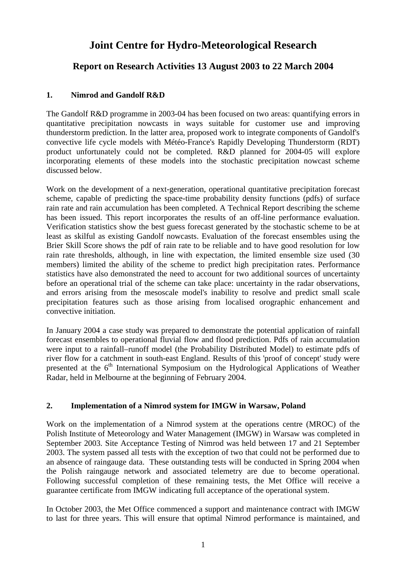# **Joint Centre for Hydro-Meteorological Research**

# **Report on Research Activities 13 August 2003 to 22 March 2004**

## **1. Nimrod and Gandolf R&D**

The Gandolf R&D programme in 2003-04 has been focused on two areas: quantifying errors in quantitative precipitation nowcasts in ways suitable for customer use and improving thunderstorm prediction. In the latter area, proposed work to integrate components of Gandolf's convective life cycle models with Météo-France's Rapidly Developing Thunderstorm (RDT) product unfortunately could not be completed. R&D planned for 2004-05 will explore incorporating elements of these models into the stochastic precipitation nowcast scheme discussed below.

Work on the development of a next-generation, operational quantitative precipitation forecast scheme, capable of predicting the space-time probability density functions (pdfs) of surface rain rate and rain accumulation has been completed. A Technical Report describing the scheme has been issued. This report incorporates the results of an off-line performance evaluation. Verification statistics show the best guess forecast generated by the stochastic scheme to be at least as skilful as existing Gandolf nowcasts. Evaluation of the forecast ensembles using the Brier Skill Score shows the pdf of rain rate to be reliable and to have good resolution for low rain rate thresholds, although, in line with expectation, the limited ensemble size used (30 members) limited the ability of the scheme to predict high precipitation rates. Performance statistics have also demonstrated the need to account for two additional sources of uncertainty before an operational trial of the scheme can take place: uncertainty in the radar observations, and errors arising from the mesoscale model's inability to resolve and predict small scale precipitation features such as those arising from localised orographic enhancement and convective initiation.

In January 2004 a case study was prepared to demonstrate the potential application of rainfall forecast ensembles to operational fluvial flow and flood prediction. Pdfs of rain accumulation were input to a rainfall–runoff model (the Probability Distributed Model) to estimate pdfs of river flow for a catchment in south-east England. Results of this 'proof of concept' study were presented at the 6<sup>th</sup> International Symposium on the Hydrological Applications of Weather Radar, held in Melbourne at the beginning of February 2004.

#### **2. Implementation of a Nimrod system for IMGW in Warsaw, Poland**

Work on the implementation of a Nimrod system at the operations centre (MROC) of the Polish Institute of Meteorology and Water Management (IMGW) in Warsaw was completed in September 2003. Site Acceptance Testing of Nimrod was held between 17 and 21 September 2003. The system passed all tests with the exception of two that could not be performed due to an absence of raingauge data. These outstanding tests will be conducted in Spring 2004 when the Polish raingauge network and associated telemetry are due to become operational. Following successful completion of these remaining tests, the Met Office will receive a guarantee certificate from IMGW indicating full acceptance of the operational system.

In October 2003, the Met Office commenced a support and maintenance contract with IMGW to last for three years. This will ensure that optimal Nimrod performance is maintained, and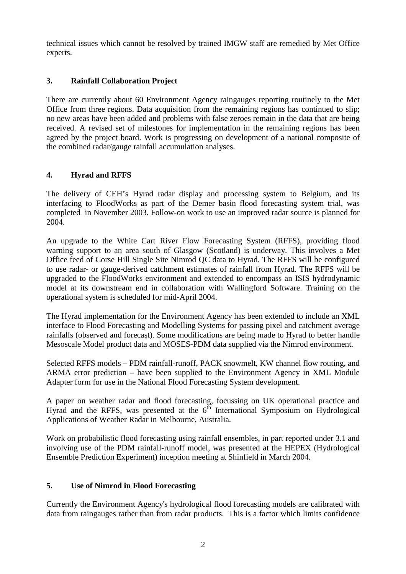technical issues which cannot be resolved by trained IMGW staff are remedied by Met Office experts.

## **3. Rainfall Collaboration Project**

There are currently about 60 Environment Agency raingauges reporting routinely to the Met Office from three regions. Data acquisition from the remaining regions has continued to slip; no new areas have been added and problems with false zeroes remain in the data that are being received. A revised set of milestones for implementation in the remaining regions has been agreed by the project board. Work is progressing on development of a national composite of the combined radar/gauge rainfall accumulation analyses.

## **4. Hyrad and RFFS**

The delivery of CEH's Hyrad radar display and processing system to Belgium, and its interfacing to FloodWorks as part of the Demer basin flood forecasting system trial, was completed in November 2003. Follow-on work to use an improved radar source is planned for 2004.

An upgrade to the White Cart River Flow Forecasting System (RFFS), providing flood warning support to an area south of Glasgow (Scotland) is underway. This involves a Met Office feed of Corse Hill Single Site Nimrod QC data to Hyrad. The RFFS will be configured to use radar- or gauge-derived catchment estimates of rainfall from Hyrad. The RFFS will be upgraded to the FloodWorks environment and extended to encompass an ISIS hydrodynamic model at its downstream end in collaboration with Wallingford Software. Training on the operational system is scheduled for mid-April 2004.

The Hyrad implementation for the Environment Agency has been extended to include an XML interface to Flood Forecasting and Modelling Systems for passing pixel and catchment average rainfalls (observed and forecast). Some modifications are being made to Hyrad to better handle Mesoscale Model product data and MOSES-PDM data supplied via the Nimrod environment.

Selected RFFS models – PDM rainfall-runoff, PACK snowmelt, KW channel flow routing, and ARMA error prediction – have been supplied to the Environment Agency in XML Module Adapter form for use in the National Flood Forecasting System development.

A paper on weather radar and flood forecasting, focussing on UK operational practice and  $Hyrad$  and the RFFS, was presented at the  $6<sup>th</sup>$  International Symposium on Hydrological Applications of Weather Radar in Melbourne, Australia.

Work on probabilistic flood forecasting using rainfall ensembles, in part reported under 3.1 and involving use of the PDM rainfall-runoff model, was presented at the HEPEX (Hydrological Ensemble Prediction Experiment) inception meeting at Shinfield in March 2004.

#### **5. Use of Nimrod in Flood Forecasting**

Currently the Environment Agency's hydrological flood forecasting models are calibrated with data from raingauges rather than from radar products. This is a factor which limits confidence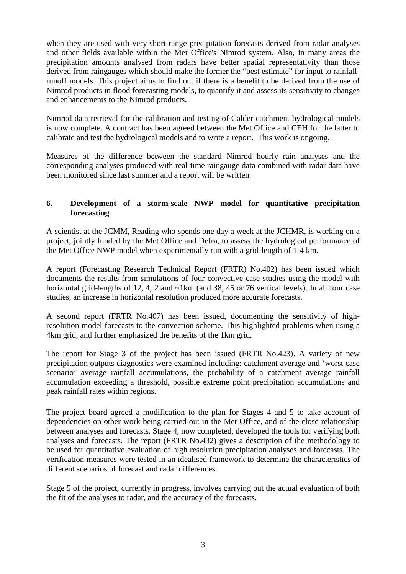when they are used with very-short-range precipitation forecasts derived from radar analyses and other fields available within the Met Office's Nimrod system. Also, in many areas the precipitation amounts analysed from radars have better spatial representativity than those derived from raingauges which should make the former the "best estimate" for input to rainfallrunoff models. This project aims to find out if there is a benefit to be derived from the use of Nimrod products in flood forecasting models, to quantify it and assess its sensitivity to changes and enhancements to the Nimrod products.

Nimrod data retrieval for the calibration and testing of Calder catchment hydrological models is now complete. A contract has been agreed between the Met Office and CEH for the latter to calibrate and test the hydrological models and to write a report. This work is ongoing.

Measures of the difference between the standard Nimrod hourly rain analyses and the corresponding analyses produced with real-time raingauge data combined with radar data have been monitored since last summer and a report will be written.

#### **6. Development of a storm-scale NWP model for quantitative precipitation forecasting**

A scientist at the JCMM, Reading who spends one day a week at the JCHMR, is working on a project, jointly funded by the Met Office and Defra, to assess the hydrological performance of the Met Office NWP model when experimentally run with a grid-length of 1-4 km.

A report (Forecasting Research Technical Report (FRTR) No.402) has been issued which documents the results from simulations of four convective case studies using the model with horizontal grid-lengths of 12, 4, 2 and ~1km (and 38, 45 or 76 vertical levels). In all four case studies, an increase in horizontal resolution produced more accurate forecasts.

A second report (FRTR No.407) has been issued, documenting the sensitivity of highresolution model forecasts to the convection scheme. This highlighted problems when using a 4km grid, and further emphasized the benefits of the 1km grid.

The report for Stage 3 of the project has been issued (FRTR No.423). A variety of new precipitation outputs diagnostics were examined including: catchment average and 'worst case scenario' average rainfall accumulations, the probability of a catchment average rainfall accumulation exceeding a threshold, possible extreme point precipitation accumulations and peak rainfall rates within regions.

The project board agreed a modification to the plan for Stages 4 and 5 to take account of dependencies on other work being carried out in the Met Office, and of the close relationship between analyses and forecasts. Stage 4, now completed, developed the tools for verifying both analyses and forecasts. The report (FRTR No.432) gives a description of the methodology to be used for quantitative evaluation of high resolution precipitation analyses and forecasts. The verification measures were tested in an idealised framework to determine the characteristics of different scenarios of forecast and radar differences.

Stage 5 of the project, currently in progress, involves carrying out the actual evaluation of both the fit of the analyses to radar, and the accuracy of the forecasts.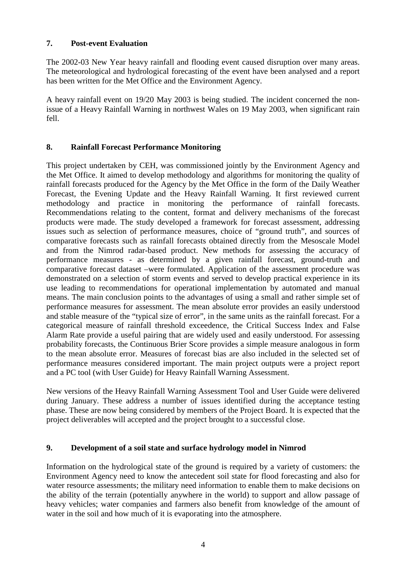#### **7. Post-event Evaluation**

The 2002-03 New Year heavy rainfall and flooding event caused disruption over many areas. The meteorological and hydrological forecasting of the event have been analysed and a report has been written for the Met Office and the Environment Agency.

A heavy rainfall event on 19/20 May 2003 is being studied. The incident concerned the nonissue of a Heavy Rainfall Warning in northwest Wales on 19 May 2003, when significant rain fell.

#### **8. Rainfall Forecast Performance Monitoring**

This project undertaken by CEH, was commissioned jointly by the Environment Agency and the Met Office. It aimed to develop methodology and algorithms for monitoring the quality of rainfall forecasts produced for the Agency by the Met Office in the form of the Daily Weather Forecast, the Evening Update and the Heavy Rainfall Warning. It first reviewed current methodology and practice in monitoring the performance of rainfall forecasts. Recommendations relating to the content, format and delivery mechanisms of the forecast products were made. The study developed a framework for forecast assessment, addressing issues such as selection of performance measures, choice of "ground truth", and sources of comparative forecasts such as rainfall forecasts obtained directly from the Mesoscale Model and from the Nimrod radar-based product. New methods for assessing the accuracy of performance measures - as determined by a given rainfall forecast, ground-truth and comparative forecast dataset –were formulated. Application of the assessment procedure was demonstrated on a selection of storm events and served to develop practical experience in its use leading to recommendations for operational implementation by automated and manual means. The main conclusion points to the advantages of using a small and rather simple set of performance measures for assessment. The mean absolute error provides an easily understood and stable measure of the "typical size of error", in the same units as the rainfall forecast. For a categorical measure of rainfall threshold exceedence, the Critical Success Index and False Alarm Rate provide a useful pairing that are widely used and easily understood. For assessing probability forecasts, the Continuous Brier Score provides a simple measure analogous in form to the mean absolute error. Measures of forecast bias are also included in the selected set of performance measures considered important. The main project outputs were a project report and a PC tool (with User Guide) for Heavy Rainfall Warning Assessment.

New versions of the Heavy Rainfall Warning Assessment Tool and User Guide were delivered during January. These address a number of issues identified during the acceptance testing phase. These are now being considered by members of the Project Board. It is expected that the project deliverables will accepted and the project brought to a successful close.

#### **9. Development of a soil state and surface hydrology model in Nimrod**

Information on the hydrological state of the ground is required by a variety of customers: the Environment Agency need to know the antecedent soil state for flood forecasting and also for water resource assessments; the military need information to enable them to make decisions on the ability of the terrain (potentially anywhere in the world) to support and allow passage of heavy vehicles; water companies and farmers also benefit from knowledge of the amount of water in the soil and how much of it is evaporating into the atmosphere.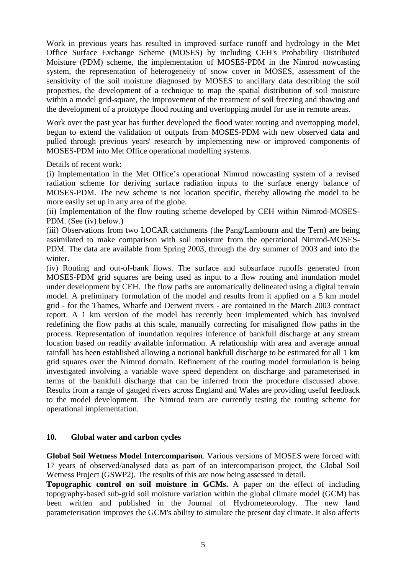Work in previous years has resulted in improved surface runoff and hydrology in the Met Office Surface Exchange Scheme (MOSES) by including CEH's Probability Distributed Moisture (PDM) scheme, the implementation of MOSES-PDM in the Nimrod nowcasting system, the representation of heterogeneity of snow cover in MOSES, assessment of the sensitivity of the soil moisture diagnosed by MOSES to ancillary data describing the soil properties, the development of a technique to map the spatial distribution of soil moisture within a model grid-square, the improvement of the treatment of soil freezing and thawing and the development of a prototype flood routing and overtopping model for use in remote areas.

Work over the past year has further developed the flood water routing and overtopping model, begun to extend the validation of outputs from MOSES-PDM with new observed data and pulled through previous years' research by implementing new or improved components of MOSES-PDM into Met Office operational modelling systems.

Details of recent work:

(i) Implementation in the Met Office's operational Nimrod nowcasting system of a revised radiation scheme for deriving surface radiation inputs to the surface energy balance of MOSES-PDM. The new scheme is not location specific, thereby allowing the model to be more easily set up in any area of the globe.

(ii) Implementation of the flow routing scheme developed by CEH within Nimrod-MOSES-PDM. (See (iv) below.)

(iii) Observations from two LOCAR catchments (the Pang/Lambourn and the Tern) are being assimilated to make comparison with soil moisture from the operational Nimrod-MOSES-PDM. The data are available from Spring 2003, through the dry summer of 2003 and into the winter.

(iv) Routing and out-of-bank flows. The surface and subsurface runoffs generated from MOSES-PDM grid squares are being used as input to a flow routing and inundation model under development by CEH. The flow paths are automatically delineated using a digital terrain model. A preliminary formulation of the model and results from it applied on a 5 km model grid - for the Thames, Wharfe and Derwent rivers - are contained in the March 2003 contract report. A 1 km version of the model has recently been implemented which has involved redefining the flow paths at this scale, manually correcting for misaligned flow paths in the process. Representation of inundation requires inference of bankfull discharge at any stream location based on readily available information. A relationship with area and average annual rainfall has been established allowing a notional bankfull discharge to be estimated for all 1 km grid squares over the Nimrod domain. Refinement of the routing model formulation is being investigated involving a variable wave speed dependent on discharge and parameterised in terms of the bankfull discharge that can be inferred from the procedure discussed above. Results from a range of gauged rivers across England and Wales are providing useful feedback to the model development. The Nimrod team are currently testing the routing scheme for operational implementation.

#### **10. Global water and carbon cycles**

**Global Soil Wetness Model Intercomparison**. Various versions of MOSES were forced with 17 years of observed/analysed data as part of an intercomparison project, the Global Soil Wetness Project (GSWP2). The results of this are now being assessed in detail.

**Topographic control on soil moisture in GCMs.** A paper on the effect of including topography-based sub-grid soil moisture variation within the global climate model (GCM) has been written and published in the Journal of Hydrometeorology. The new land parameterisation improves the GCM's ability to simulate the present day climate. It also affects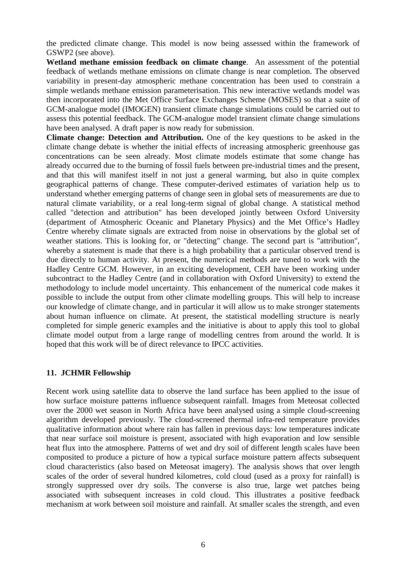the predicted climate change. This model is now being assessed within the framework of GSWP2 (see above).

**Wetland methane emission feedback on climate change**. An assessment of the potential feedback of wetlands methane emissions on climate change is near completion. The observed variability in present-day atmospheric methane concentration has been used to constrain a simple wetlands methane emission parameterisation. This new interactive wetlands model was then incorporated into the Met Office Surface Exchanges Scheme (MOSES) so that a suite of GCM-analogue model (IMOGEN) transient climate change simulations could be carried out to assess this potential feedback. The GCM-analogue model transient climate change simulations have been analysed. A draft paper is now ready for submission.

**Climate change: Detection and Attribution.** One of the key questions to be asked in the climate change debate is whether the initial effects of increasing atmospheric greenhouse gas concentrations can be seen already. Most climate models estimate that some change has already occurred due to the burning of fossil fuels between pre-industrial times and the present, and that this will manifest itself in not just a general warming, but also in quite complex geographical patterns of change. These computer-derived estimates of variation help us to understand whether emerging patterns of change seen in global sets of measurements are due to natural climate variability, or a real long-term signal of global change. A statistical method called "detection and attribution" has been developed jointly between Oxford University (department of Atmospheric Oceanic and Planetary Physics) and the Met Office's Hadley Centre whereby climate signals are extracted from noise in observations by the global set of weather stations. This is looking for, or "detecting" change. The second part is "attribution", whereby a statement is made that there is a high probability that a particular observed trend is due directly to human activity. At present, the numerical methods are tuned to work with the Hadley Centre GCM. However, in an exciting development, CEH have been working under subcontract to the Hadley Centre (and in collaboration with Oxford University) to extend the methodology to include model uncertainty. This enhancement of the numerical code makes it possible to include the output from other climate modelling groups. This will help to increase our knowledge of climate change, and in particular it will allow us to make stronger statements about human influence on climate. At present, the statistical modelling structure is nearly completed for simple generic examples and the initiative is about to apply this tool to global climate model output from a large range of modelling centres from around the world. It is hoped that this work will be of direct relevance to IPCC activities.

#### **11. JCHMR Fellowship**

Recent work using satellite data to observe the land surface has been applied to the issue of how surface moisture patterns influence subsequent rainfall. Images from Meteosat collected over the 2000 wet season in North Africa have been analysed using a simple cloud-screening algorithm developed previously. The cloud-screened thermal infra-red temperature provides qualitative information about where rain has fallen in previous days: low temperatures indicate that near surface soil moisture is present, associated with high evaporation and low sensible heat flux into the atmosphere. Patterns of wet and dry soil of different length scales have been composited to produce a picture of how a typical surface moisture pattern affects subsequent cloud characteristics (also based on Meteosat imagery). The analysis shows that over length scales of the order of several hundred kilometres, cold cloud (used as a proxy for rainfall) is strongly suppressed over dry soils. The converse is also true, large wet patches being associated with subsequent increases in cold cloud. This illustrates a positive feedback mechanism at work between soil moisture and rainfall. At smaller scales the strength, and even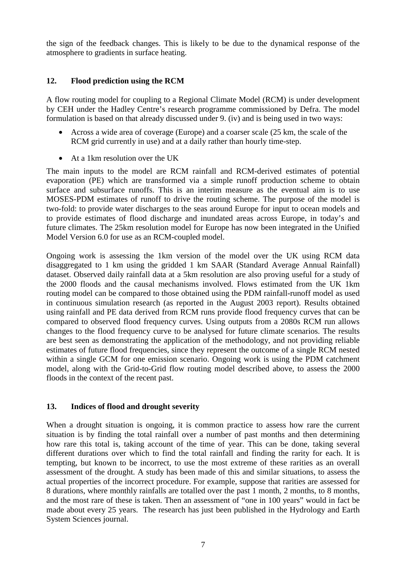the sign of the feedback changes. This is likely to be due to the dynamical response of the atmosphere to gradients in surface heating.

#### **12. Flood prediction using the RCM**

A flow routing model for coupling to a Regional Climate Model (RCM) is under development by CEH under the Hadley Centre's research programme commissioned by Defra. The model formulation is based on that already discussed under 9. (iv) and is being used in two ways:

- Across a wide area of coverage (Europe) and a coarser scale (25 km, the scale of the RCM grid currently in use) and at a daily rather than hourly time-step.
- At a 1km resolution over the UK

The main inputs to the model are RCM rainfall and RCM-derived estimates of potential evaporation (PE) which are transformed via a simple runoff production scheme to obtain surface and subsurface runoffs. This is an interim measure as the eventual aim is to use MOSES-PDM estimates of runoff to drive the routing scheme. The purpose of the model is two-fold: to provide water discharges to the seas around Europe for input to ocean models and to provide estimates of flood discharge and inundated areas across Europe, in today's and future climates. The 25km resolution model for Europe has now been integrated in the Unified Model Version 6.0 for use as an RCM-coupled model.

Ongoing work is assessing the 1km version of the model over the UK using RCM data disaggregated to 1 km using the gridded 1 km SAAR (Standard Average Annual Rainfall) dataset. Observed daily rainfall data at a 5km resolution are also proving useful for a study of the 2000 floods and the causal mechanisms involved. Flows estimated from the UK 1km routing model can be compared to those obtained using the PDM rainfall-runoff model as used in continuous simulation research (as reported in the August 2003 report). Results obtained using rainfall and PE data derived from RCM runs provide flood frequency curves that can be compared to observed flood frequency curves. Using outputs from a 2080s RCM run allows changes to the flood frequency curve to be analysed for future climate scenarios. The results are best seen as demonstrating the application of the methodology, and not providing reliable estimates of future flood frequencies, since they represent the outcome of a single RCM nested within a single GCM for one emission scenario. Ongoing work is using the PDM catchment model, along with the Grid-to-Grid flow routing model described above, to assess the 2000 floods in the context of the recent past.

#### **13. Indices of flood and drought severity**

When a drought situation is ongoing, it is common practice to assess how rare the current situation is by finding the total rainfall over a number of past months and then determining how rare this total is, taking account of the time of year. This can be done, taking several different durations over which to find the total rainfall and finding the rarity for each. It is tempting, but known to be incorrect, to use the most extreme of these rarities as an overall assessment of the drought. A study has been made of this and similar situations, to assess the actual properties of the incorrect procedure. For example, suppose that rarities are assessed for 8 durations, where monthly rainfalls are totalled over the past 1 month, 2 months, to 8 months, and the most rare of these is taken. Then an assessment of "one in 100 years" would in fact be made about every 25 years. The research has just been published in the Hydrology and Earth System Sciences journal.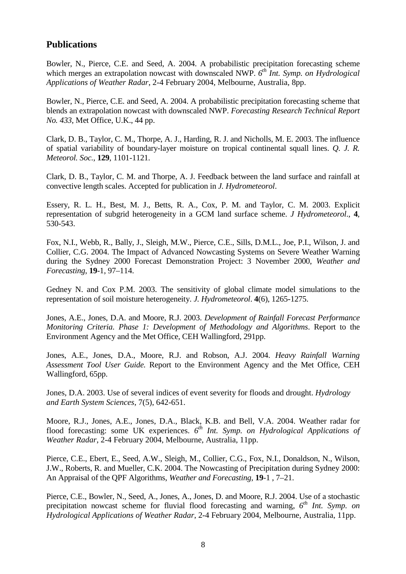# **Publications**

Bowler, N., Pierce, C.E. and Seed, A. 2004. A probabilistic precipitation forecasting scheme which merges an extrapolation nowcast with downscaled NWP.  $6^{th}$  *Int. Symp. on Hydrological Applications of Weather Radar*, 2-4 February 2004, Melbourne, Australia, 8pp.

Bowler, N., Pierce, C.E. and Seed, A. 2004. A probabilistic precipitation forecasting scheme that blends an extrapolation nowcast with downscaled NWP. *Forecasting Research Technical Report No. 433*, Met Office, U.K., 44 pp.

Clark, D. B., Taylor, C. M., Thorpe, A. J., Harding, R. J. and Nicholls, M. E. 2003. The influence of spatial variability of boundary-layer moisture on tropical continental squall lines. *Q. J. R. Meteorol. Soc.*, **129**, 1101-1121.

Clark, D. B., Taylor, C. M. and Thorpe, A. J. Feedback between the land surface and rainfall at convective length scales. Accepted for publication in *J. Hydrometeorol*.

Essery, R. L. H., Best, M. J., Betts, R. A., Cox, P. M. and Taylor, C. M. 2003. Explicit representation of subgrid heterogeneity in a GCM land surface scheme. *J Hydrometeorol*., **4**, 530-543.

Fox, N.I., Webb, R., Bally, J., Sleigh, M.W., Pierce, C.E., Sills, D.M.L., Joe, P.I., Wilson, J. and Collier, C.G. 2004. The Impact of Advanced Nowcasting Systems on Severe Weather Warning during the Sydney 2000 Forecast Demonstration Project: 3 November 2000, *Weather and Forecasting*, **19**-1, 97–114.

Gedney N. and Cox P.M. 2003. The sensitivity of global climate model simulations to the representation of soil moisture heterogeneity. *J. Hydrometeorol*. **4**(6), 1265-1275.

Jones, A.E., Jones, D.A. and Moore, R.J. 2003. *Development of Rainfall Forecast Performance Monitoring Criteria. Phase 1: Development of Methodology and Algorithms*. Report to the Environment Agency and the Met Office, CEH Wallingford, 291pp.

Jones, A.E., Jones, D.A., Moore, R.J. and Robson, A.J. 2004. *Heavy Rainfall Warning Assessment Tool User Guide.* Report to the Environment Agency and the Met Office, CEH Wallingford, 65pp.

Jones, D.A. 2003. Use of several indices of event severity for floods and drought. *Hydrology and Earth System Sciences*, 7(5), 642-651.

Moore, R.J., Jones, A.E., Jones, D.A., Black, K.B. and Bell, V.A. 2004. Weather radar for flood forecasting: some UK experiences.  $6^{th}$  Int. Symp. on Hydrological Applications of *Weather Radar*, 2-4 February 2004, Melbourne, Australia, 11pp.

Pierce, C.E., Ebert, E., Seed, A.W., Sleigh, M., Collier, C.G., Fox, N.I., Donaldson, N., Wilson, J.W., Roberts, R. and Mueller, C.K. 2004. The Nowcasting of Precipitation during Sydney 2000: An Appraisal of the QPF Algorithms, *Weather and Forecasting*, **19**-1 , 7–21.

Pierce, C.E., Bowler, N., Seed, A., Jones, A., Jones, D. and Moore, R.J. 2004. Use of a stochastic precipitation nowcast scheme for fluvial flood forecasting and warning, *6th Int. Symp. on Hydrological Applications of Weather Radar*, 2-4 February 2004, Melbourne, Australia, 11pp.